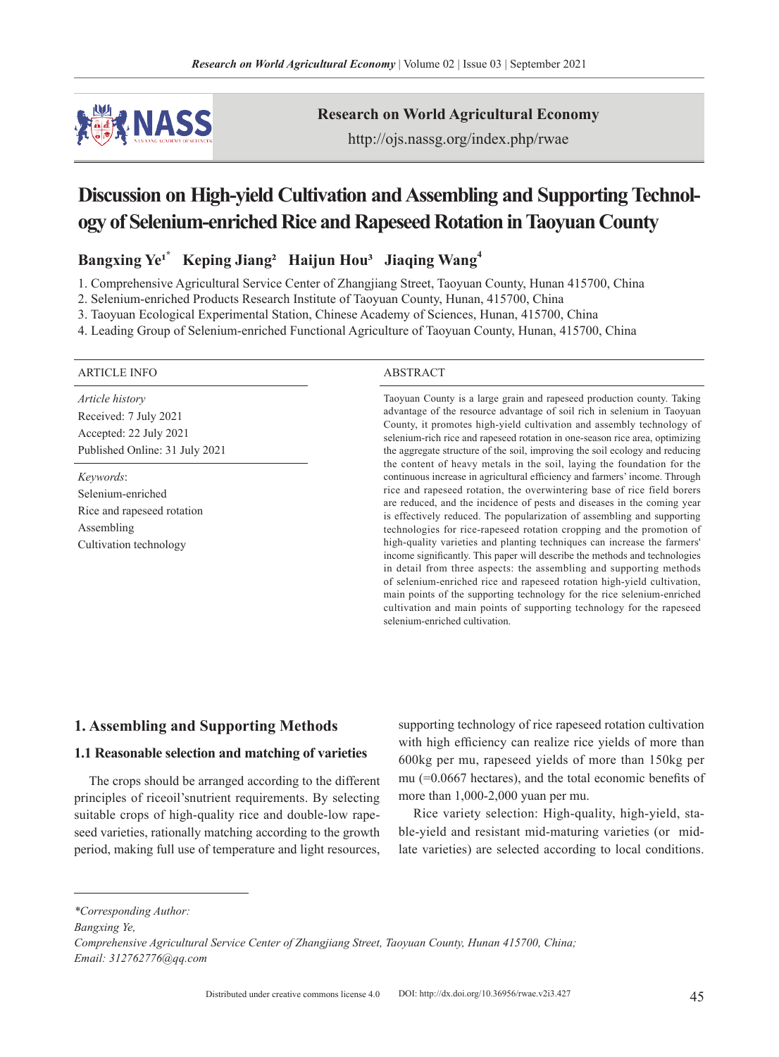

**Research on World Agricultural Economy**

http://ojs.nassg.org/index.php/rwae

# **Discussion** on High-yield Cultivation and Assembling and Supporting Technol**ogy** of Selenium-enriched Rice and Rapeseed Rotation in Taoyuan County

Bangxing Ye<sup>1\*</sup> Keping Jiang<sup>2</sup> Haijun Hou<sup>3</sup> Jiaqing Wang<sup>4</sup>

1. Comprehensive Agricultural Service Center of Zhangjiang Street, Taoyuan County, Hunan 415700, China

2. Selenium-enriched Products Research Institute of Taoyuan County, Hunan, 415700, China

3. Taoyuan Ecological Experimental Station, Chinese Academy of Sciences, Hunan, 415700, China

4. Leading Group of Selenium-enriched Functional Agriculture of Taoyuan County, Hunan, 415700, China

#### ARTICLE INFO ABSTRACT

*Article history* Received: 7 July 2021 Accepted: 22 July 2021 Published Online: 31 July 2021

*Keywords*: Selenium-enriched Rice and rapeseed rotation Assembling Cultivation technology

Taoyuan County is a large grain and rapeseed production county. Taking advantage of the resource advantage of soil rich in selenium in Taoyuan County, it promotes high-yield cultivation and assembly technology of selenium-rich rice and rapeseed rotation in one-season rice area, optimizing the aggregate structure of the soil, improving the soil ecology and reducing the content of heavy metals in the soil, laying the foundation for the continuous increase in agricultural efficiency and farmers' income. Through rice and rapeseed rotation, the overwintering base of rice field borers are reduced, and the incidence of pests and diseases in the coming year is effectively reduced. The popularization of assembling and supporting technologies for rice-rapeseed rotation cropping and the promotion of high-quality varieties and planting techniques can increase the farmers' income significantly. This paper will describe the methods and technologies in detail from three aspects: the assembling and supporting methods of selenium-enriched rice and rapeseed rotation high-yield cultivation, main points of the supporting technology for the rice selenium-enriched cultivation and main points of supporting technology for the rapeseed selenium-enriched cultivation.

### **1. Assembling and Supporting Methods**

#### **1.1 Reasonable selection and matching of varieties**

The crops should be arranged according to the different principles of riceoil'snutrient requirements. By selecting suitable crops of high-quality rice and double-low rapeseed varieties, rationally matching according to the growth period, making full use of temperature and light resources, supporting technology of rice rapeseed rotation cultivation with high efficiency can realize rice yields of more than 600kg per mu, rapeseed yields of more than 150kg per mu (=0.0667 hectares), and the total economic benefits of more than 1,000-2,000 yuan per mu.

Rice variety selection: High-quality, high-yield, stable-yield and resistant mid-maturing varieties (or midlate varieties) are selected according to local conditions.

*\*Corresponding Author:*

*Bangxing Ye,* 

*Comprehensive Agricultural Service Center of Zhangjiang Street, Taoyuan County, Hunan 415700, China; Email: 312762776@qq.com*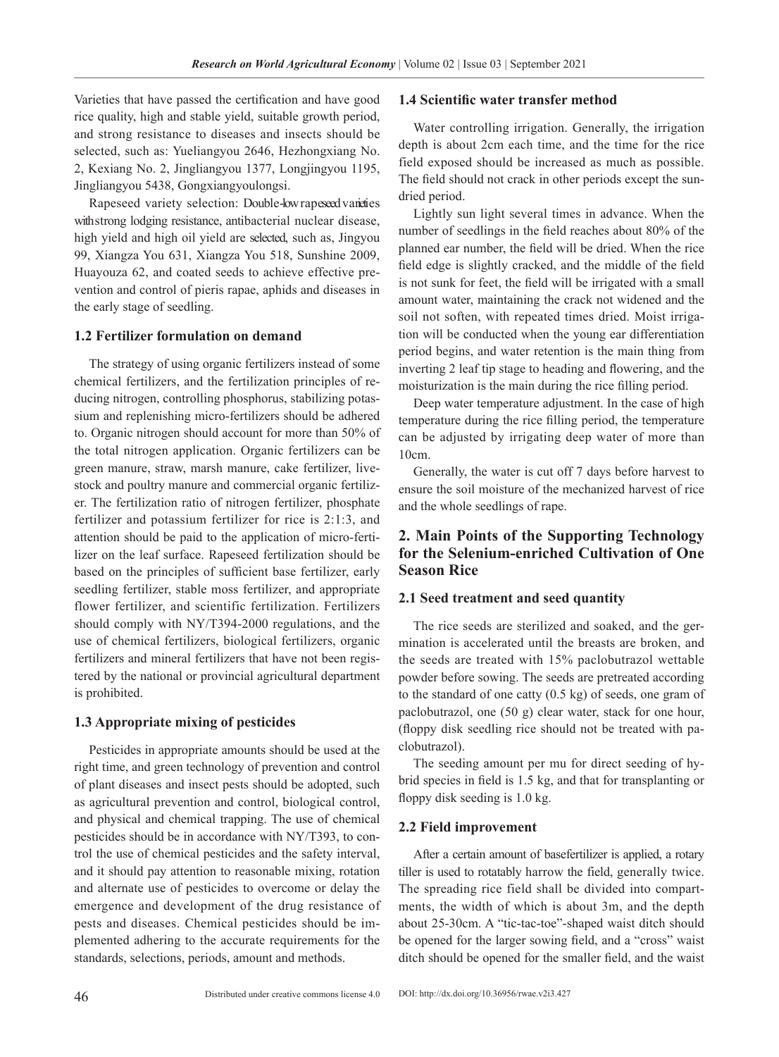Varieties that have passed the certification and have good rice quality, high and stable yield, suitable growth period, and strong resistance to diseases and insects should be selected, such as: Yueliangyou 2646, Hezhongxiang No. 2, Kexiang No. 2, Jingliangyou 1377, Longjingyou 1195, Jingliangyou 5438, Gongxiangyoulongsi.

Rapeseed variety selection: Double-low rapeseed varieties with strong lodging resistance, antibacterial nuclear disease, high yield and high oil yield are selected, such as, Jingyou 99, Xiangza You 631, Xiangza You 518, Sunshine 2009, Huayouza 62, and coated seeds to achieve effective prevention and control of pieris rapae, aphids and diseases in the early stage of seedling.

#### **1.2 Fertilizer formulation on demand**

The strategy of using organic fertilizers instead of some chemical fertilizers, and the fertilization principles of reducing nitrogen, controlling phosphorus, stabilizing potassium and replenishing micro-fertilizers should be adhered to. Organic nitrogen should account for more than 50% of the total nitrogen application. Organic fertilizers can be green manure, straw, marsh manure, cake fertilizer, livestock and poultry manure and commercial organic fertilizer. The fertilization ratio of nitrogen fertilizer, phosphate fertilizer and potassium fertilizer for rice is 2:1:3, and attention should be paid to the application of micro-fertilizer on the leaf surface. Rapeseed fertilization should be based on the principles of sufficient base fertilizer, early seedling fertilizer, stable moss fertilizer, and appropriate flower fertilizer, and scientific fertilization. Fertilizers should comply with NY/T394-2000 regulations, and the use of chemical fertilizers, biological fertilizers, organic fertilizers and mineral fertilizers that have not been registered by the national or provincial agricultural department is prohibited.

#### **1.3 Appropriate mixing of pesticides**

Pesticides in appropriate amounts should be used at the right time, and green technology of prevention and control of plant diseases and insect pests should be adopted, such as agricultural prevention and control, biological control, and physical and chemical trapping. The use of chemical pesticides should be in accordance with NY/T393, to control the use of chemical pesticides and the safety interval, and it should pay attention to reasonable mixing, rotation and alternate use of pesticides to overcome or delay the emergence and development of the drug resistance of pests and diseases. Chemical pesticides should be implemented adhering to the accurate requirements for the standards, selections, periods, amount and methods.

#### **1.4 Scientific water transfer method**

Water controlling irrigation. Generally, the irrigation depth is about 2cm each time, and the time for the rice field exposed should be increased as much as possible. The field should not crack in other periods except the sundried period.

Lightly sun light several times in advance. When the number of seedlings in the field reaches about 80% of the planned ear number, the field will be dried. When the rice field edge is slightly cracked, and the middle of the field is not sunk for feet, the field will be irrigated with a small amount water, maintaining the crack not widened and the soil not soften, with repeated times dried. Moist irrigation will be conducted when the young ear differentiation period begins, and water retention is the main thing from inverting 2 leaf tip stage to heading and flowering, and the moisturization is the main during the rice filling period.

Deep water temperature adjustment. In the case of high temperature during the rice filling period, the temperature can be adjusted by irrigating deep water of more than 10cm.

Generally, the water is cut off 7 days before harvest to ensure the soil moisture of the mechanized harvest of rice and the whole seedlings of rape.

# **2. Main Points of the Supporting Technology for the Selenium-enriched Cultivation of One Season Rice**

#### **2.1 Seed treatment and seed quantity**

The rice seeds are sterilized and soaked, and the germination is accelerated until the breasts are broken, and the seeds are treated with 15% paclobutrazol wettable powder before sowing. The seeds are pretreated according to the standard of one catty (0.5 kg) of seeds, one gram of paclobutrazol, one (50 g) clear water, stack for one hour, (floppy disk seedling rice should not be treated with paclobutrazol).

The seeding amount per mu for direct seeding of hybrid species in field is 1.5 kg, and that for transplanting or floppy disk seeding is 1.0 kg.

#### **2.2 Field improvement**

After a certain amount of basefertilizer is applied, a rotary tiller is used to rotatably harrow the field, generally twice. The spreading rice field shall be divided into compartments, the width of which is about 3m, and the depth about 25-30cm. A "tic-tac-toe"-shaped waist ditch should be opened for the larger sowing field, and a "cross" waist ditch should be opened for the smaller field, and the waist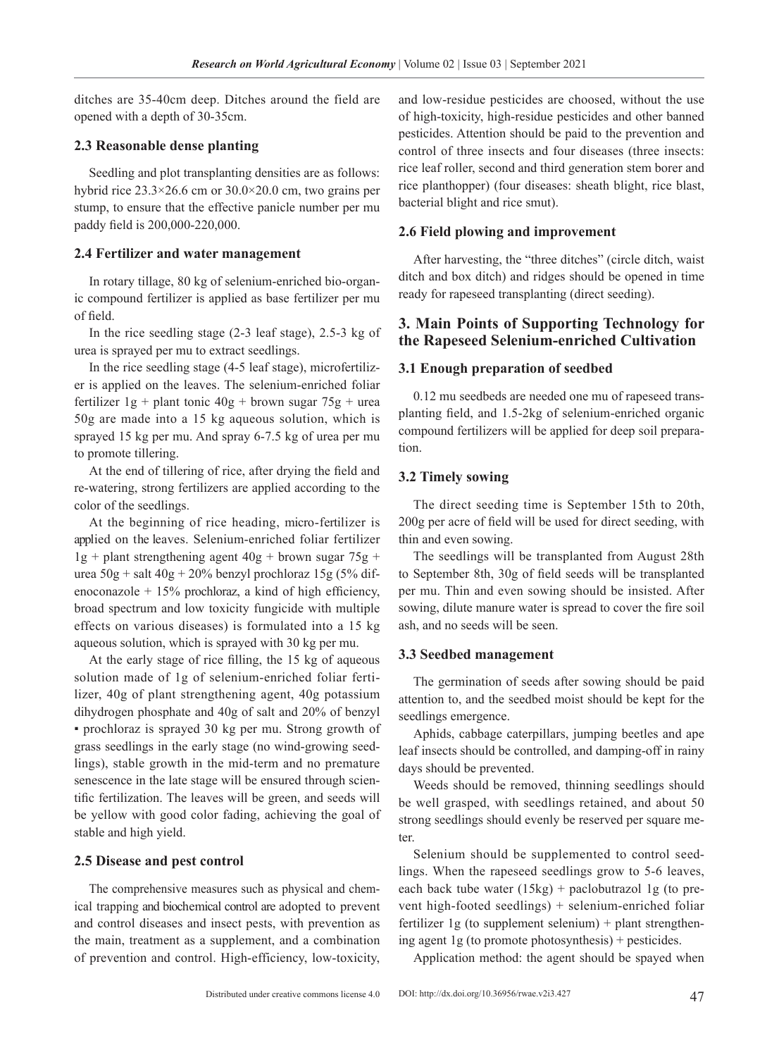ditches are 35-40cm deep. Ditches around the field are opened with a depth of 30-35cm.

# **2.3 Reasonable dense planting**

Seedling and plot transplanting densities are as follows: hybrid rice 23.3×26.6 cm or 30.0×20.0 cm, two grains per stump, to ensure that the effective panicle number per mu paddy field is 200,000-220,000.

# **2.4 Fertilizer and water management**

In rotary tillage, 80 kg of selenium-enriched bio-organic compound fertilizer is applied as base fertilizer per mu of field.

In the rice seedling stage (2-3 leaf stage), 2.5-3 kg of urea is sprayed per mu to extract seedlings.

In the rice seedling stage (4-5 leaf stage), microfertilizer is applied on the leaves. The selenium-enriched foliar fertilizer  $1g +$  plant tonic  $40g +$  brown sugar  $75g +$  urea 50g are made into a 15 kg aqueous solution, which is sprayed 15 kg per mu. And spray 6-7.5 kg of urea per mu to promote tillering.

At the end of tillering of rice, after drying the field and re-watering, strong fertilizers are applied according to the color of the seedlings.

At the beginning of rice heading, micro-fertilizer is applied on the leaves. Selenium-enriched foliar fertilizer  $1g +$  plant strengthening agent  $40g +$  brown sugar  $75g +$ urea  $50g +$ salt  $40g + 20%$  benzyl prochloraz  $15g$  (5% difenoconazole  $+ 15\%$  prochloraz, a kind of high efficiency, broad spectrum and low toxicity fungicide with multiple effects on various diseases) is formulated into a 15 kg aqueous solution, which is sprayed with 30 kg per mu.

At the early stage of rice filling, the 15 kg of aqueous solution made of 1g of selenium-enriched foliar fertilizer, 40g of plant strengthening agent, 40g potassium dihydrogen phosphate and 40g of salt and 20% of benzyl ▪ prochloraz is sprayed 30 kg per mu. Strong growth of grass seedlings in the early stage (no wind-growing seedlings), stable growth in the mid-term and no premature senescence in the late stage will be ensured through scientific fertilization. The leaves will be green, and seeds will be yellow with good color fading, achieving the goal of stable and high yield.

#### **2.5 Disease and pest control**

The comprehensive measures such as physical and chemical trapping and biochemical control are adopted to prevent and control diseases and insect pests, with prevention as the main, treatment as a supplement, and a combination of prevention and control. High-efficiency, low-toxicity, and low-residue pesticides are choosed, without the use of high-toxicity, high-residue pesticides and other banned pesticides. Attention should be paid to the prevention and control of three insects and four diseases (three insects: rice leaf roller, second and third generation stem borer and rice planthopper) (four diseases: sheath blight, rice blast, bacterial blight and rice smut).

# **2.6 Field plowing and improvement**

After harvesting, the "three ditches" (circle ditch, waist ditch and box ditch) and ridges should be opened in time ready for rapeseed transplanting (direct seeding).

# **3. Main Points of Supporting Technology for the Rapeseed Selenium-enriched Cultivation**

# **3.1 Enough preparation of seedbed**

0.12 mu seedbeds are needed one mu of rapeseed transplanting field, and 1.5-2kg of selenium-enriched organic compound fertilizers will be applied for deep soil preparation.

# **3.2 Timely sowing**

The direct seeding time is September 15th to 20th, 200g per acre of field will be used for direct seeding, with thin and even sowing.

The seedlings will be transplanted from August 28th to September 8th, 30g of field seeds will be transplanted per mu. Thin and even sowing should be insisted. After sowing, dilute manure water is spread to cover the fire soil ash, and no seeds will be seen.

# **3.3 Seedbed management**

The germination of seeds after sowing should be paid attention to, and the seedbed moist should be kept for the seedlings emergence.

Aphids, cabbage caterpillars, jumping beetles and ape leaf insects should be controlled, and damping-off in rainy days should be prevented.

Weeds should be removed, thinning seedlings should be well grasped, with seedlings retained, and about 50 strong seedlings should evenly be reserved per square meter

Selenium should be supplemented to control seedlings. When the rapeseed seedlings grow to 5-6 leaves, each back tube water (15kg) + paclobutrazol 1g (to prevent high-footed seedlings) + selenium-enriched foliar fertilizer 1g (to supplement selenium)  $+$  plant strengthening agent 1g (to promote photosynthesis) + pesticides.

Application method: the agent should be spayed when